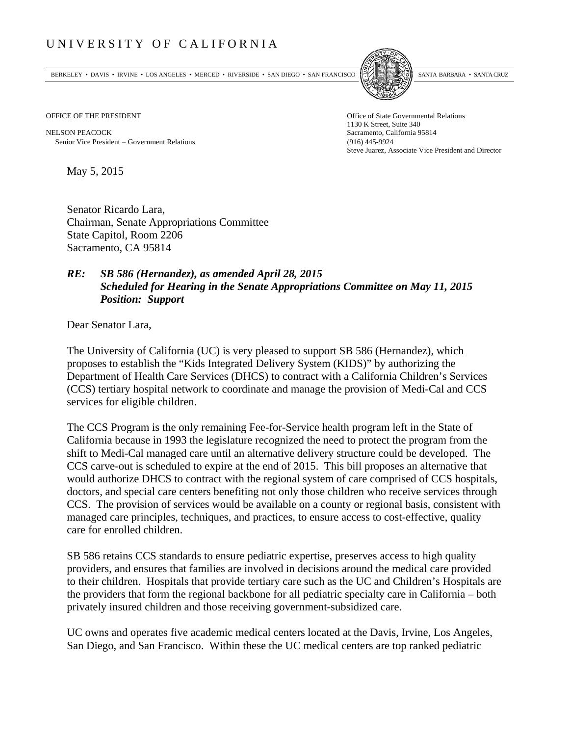## UNIVERSITY OF CALIFORNIA

BERKELEY • DAVIS • IRVINE • LOS ANGELES • MERCED • RIVERSIDE • SAN DIEGO • SAN FRANCISCO SANTA BARBARA • SANTA CRUZ



OFFICE OF THE PRESIDENT STATES OF THE PRESIDENT

NELSON PEACOCK Sacramento, California 95814 Senior Vice President Government Relations (916) 445-9924

1130 K Street, Suite 340 Steve Juarez, Associate Vice President and Director

May 5, 2015

Senator Ricardo Lara, Chairman, Senate Appropriations Committee State Capitol, Room 2206 Sacramento, CA 95814

## *RE: SB 586 (Hernandez), as amended April 28, 2015 Scheduled for Hearing in the Senate Appropriations Committee on May 11, 2015 Position: Support*

Dear Senator Lara,

The University of California (UC) is very pleased to support SB 586 (Hernandez), which proposes to establish the "Kids Integrated Delivery System (KIDS)" by authorizing the Department of Health Care Services (DHCS) to contract with a California Children's Services (CCS) tertiary hospital network to coordinate and manage the provision of Medi-Cal and CCS services for eligible children.

The CCS Program is the only remaining Fee-for-Service health program left in the State of California because in 1993 the legislature recognized the need to protect the program from the shift to Medi-Cal managed care until an alternative delivery structure could be developed. The CCS carve-out is scheduled to expire at the end of 2015. This bill proposes an alternative that would authorize DHCS to contract with the regional system of care comprised of CCS hospitals, doctors, and special care centers benefiting not only those children who receive services through CCS. The provision of services would be available on a county or regional basis, consistent with managed care principles, techniques, and practices, to ensure access to cost-effective, quality care for enrolled children.

SB 586 retains CCS standards to ensure pediatric expertise, preserves access to high quality providers, and ensures that families are involved in decisions around the medical care provided to their children. Hospitals that provide tertiary care such as the UC and Children's Hospitals are the providers that form the regional backbone for all pediatric specialty care in California – both privately insured children and those receiving government-subsidized care.

UC owns and operates five academic medical centers located at the Davis, Irvine, Los Angeles, San Diego, and San Francisco. Within these the UC medical centers are top ranked pediatric